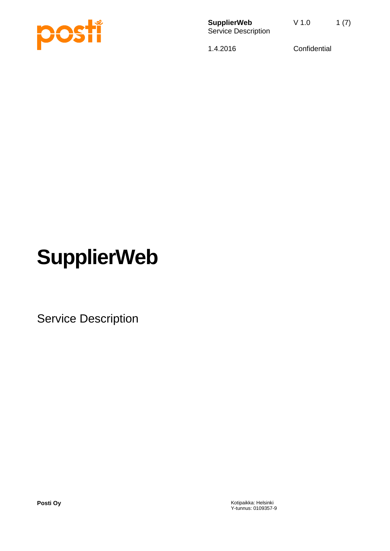

**SupplierWeb** V 1.0 1 (7) Service Description

1.4.2016 Confidential

# **SupplierWeb**

Service Description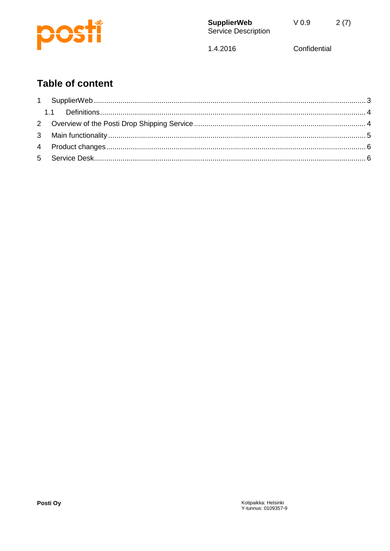

1.4.2016

Confidential

# **Table of content**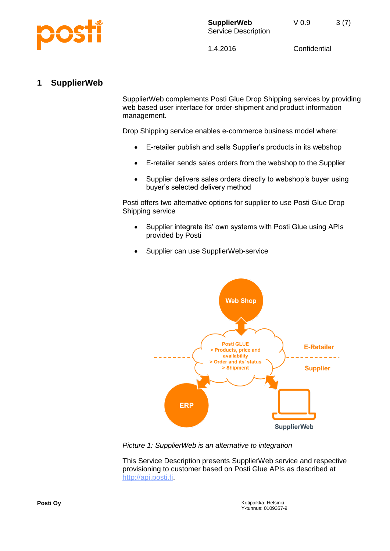

# <span id="page-2-0"></span>**1 SupplierWeb**

SupplierWeb complements Posti Glue Drop Shipping services by providing web based user interface for order-shipment and product information management.

Drop Shipping service enables e-commerce business model where:

- E-retailer publish and sells Supplier's products in its webshop
- E-retailer sends sales orders from the webshop to the Supplier
- Supplier delivers sales orders directly to webshop's buyer using buyer's selected delivery method

Posti offers two alternative options for supplier to use Posti Glue Drop Shipping service

- Supplier integrate its' own systems with Posti Glue using APIs provided by Posti
- Supplier can use SupplierWeb-service



*Picture 1: SupplierWeb is an alternative to integration*

This Service Description presents SupplierWeb service and respective provisioning to customer based on Posti Glue APIs as described at [http://api.posti.fi.](http://api.posti.fi/)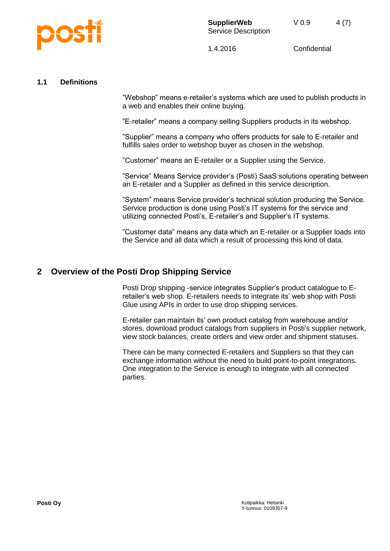

#### <span id="page-3-0"></span>**1.1 Definitions**

"Webshop" means e-retailer's systems which are used to publish products in a web and enables their online buying.

"E-retailer" means a company selling Suppliers products in its webshop.

"Supplier" means a company who offers products for sale to E-retailer and fulfills sales order to webshop buyer as chosen in the webshop.

"Customer" means an E-retailer or a Supplier using the Service.

"Service" Means Service provider's (Posti) SaaS solutions operating between an E-retailer and a Supplier as defined in this service description.

"System" means Service provider's technical solution producing the Service. Service production is done using Posti's IT systems for the service and utilizing connected Posti's, E-retailer's and Supplier's IT systems.

"Customer data" means any data which an E-retailer or a Supplier loads into the Service and all data which a result of processing this kind of data.

#### <span id="page-3-1"></span>**2 Overview of the Posti Drop Shipping Service**

Posti Drop shipping -service integrates Supplier's product catalogue to Eretailer's web shop. E-retailers needs to integrate its' web shop with Posti Glue using APIs in order to use drop shipping services.

E-retailer can maintain its' own product catalog from warehouse and/or stores, download product catalogs from suppliers in Posti's supplier network, view stock balances, create orders and view order and shipment statuses.

There can be many connected E-retailers and Suppliers so that they can exchange information without the need to build point-to-point integrations. One integration to the Service is enough to integrate with all connected parties.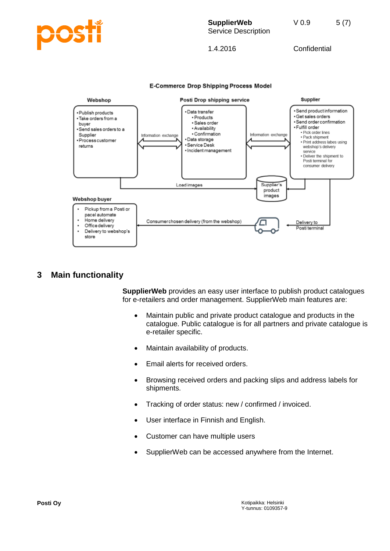

**E-Commerce Drop Shipping Process Model** 



### <span id="page-4-0"></span>**3 Main functionality**

**SupplierWeb** provides an easy user interface to publish product catalogues for e-retailers and order management. SupplierWeb main features are:

- Maintain public and private product catalogue and products in the catalogue. Public catalogue is for all partners and private catalogue is e-retailer specific.
- Maintain availability of products.
- Email alerts for received orders.
- Browsing received orders and packing slips and address labels for shipments.
- Tracking of order status: new / confirmed / invoiced.
- User interface in Finnish and English.
- Customer can have multiple users
- SupplierWeb can be accessed anywhere from the Internet.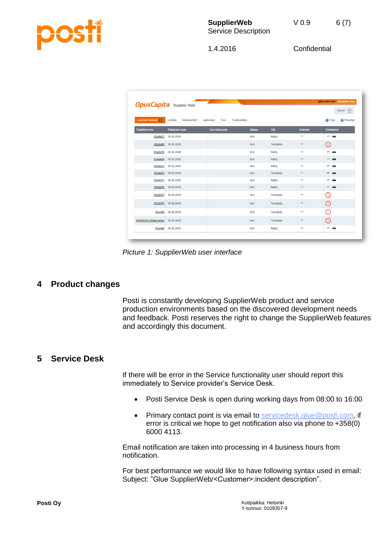

| glue loso test Kirjaudu ulos<br><u> Andrew Maria Strand Barbon (1986)</u><br><b>OpusCapita</b> Supplier Web      |                      |               |            |             |                      |                                |  |  |  |
|------------------------------------------------------------------------------------------------------------------|----------------------|---------------|------------|-------------|----------------------|--------------------------------|--|--|--|
|                                                                                                                  |                      |               |            |             |                      | Suomi V                        |  |  |  |
| Avoimet tilaukset 1<br>Tuki<br>Tuoteluettelo<br>Pikaohje<br>Arkisto<br>Maksuehdot<br>Asetukset<br><b>Ch</b> Ohje |                      |               |            |             |                      |                                |  |  |  |
| <b>Tilauksen nro</b>                                                                                             | <b>Tilauksen pvm</b> | Toiv.toim.pvm | tilaaja    | <b>Tila</b> | tiedosto             | <b>Toiminnot</b>               |  |  |  |
| 6546472                                                                                                          | 16.03.2016           |               | N/A        | Nähty       | $\Box$               | $\Box$ $\qquad \qquad \bullet$ |  |  |  |
| 6546469                                                                                                          | 16.03.2016           |               | N/A        | Toimitettu  | $\qquad \qquad \Box$ | ⊕                              |  |  |  |
| 6546470                                                                                                          | 16.03.2016           |               | N/A        | Nähty       | $\Box$               | $\omega$ $\omega$              |  |  |  |
| 6546468                                                                                                          | 16.03.2016           |               | N/A        | Nähty       | $\Box$               | $1 - 1$                        |  |  |  |
| 6546473                                                                                                          | 16.03.2016           |               | N/A        | Nähty       | $\Box$               | $\omega$ $\omega$              |  |  |  |
| 6546474                                                                                                          | 16.03.2016           |               | <b>N/A</b> | Toimitettu  | <b>D</b>             | $\mathbb{F}$ $\mathbb{Q}$      |  |  |  |
| 6546471                                                                                                          | 16.03.2016           |               | N/A        | Nähty       | $\Box$               | $\omega$ $\omega$              |  |  |  |
|                                                                                                                  | 6546476 16.03.2016   |               | N/A        | Nähty       | $\Box$               | $\Box$ 41                      |  |  |  |
| 6546477                                                                                                          | 16.03.2016           |               | N/A        | Toimitettu  | $\Box$               | ⊕                              |  |  |  |
| 6546475                                                                                                          | 16.03.2016           |               | N/A        | Toimitettu  | $\Box$               | ⊕                              |  |  |  |
| 654450                                                                                                           | 16.03.2016           |               | N/A        | Toimitettu  | $\Box$               | ⊕                              |  |  |  |
| 663636354469serialtest                                                                                           | 16.03.2016           |               | N/A        | Toimitettu  | $\Box$               | 0                              |  |  |  |
| 654469                                                                                                           | 16.03.2016           |               | N/A        | Nähty       | $\Box$               | ు ∠•ు                          |  |  |  |

*Picture 1: SupplierWeb user interface*

# <span id="page-5-0"></span>**4 Product changes**

Posti is constantly developing SupplierWeb product and service production environments based on the discovered development needs and feedback. Posti reserves the right to change the SupplierWeb features and accordingly this document.

# <span id="page-5-1"></span>**5 Service Desk**

If there will be error in the Service functionality user should report this immediately to Service provider's Service Desk.

- Posti Service Desk is open during working days from 08:00 to 16:00
- Primary contact point is via email to [servicedesk.glue@posti.com,](mailto:servicedesk.glue@posti.com) if error is critical we hope to get notification also via phone to +358(0) 6000 4113.

Email notification are taken into processing in 4 business hours from notification.

For best performance we would like to have following syntax used in email: Subject: "Glue SupplierWeb/<Customer>:incident description".